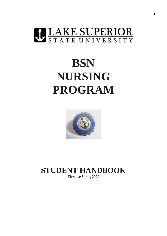

# **BSN NURSING PROGRAM**



## **STUDENT HANDBOOK**

Effective Spring 2020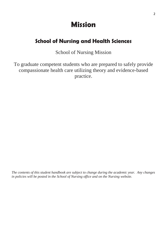## **Mission**

## <span id="page-1-0"></span>**School of Nursing and Health Sciences**

## School of Nursing Mission

To graduate competent students who are prepared to safely provide compassionate health care utilizing theory and evidence-based practice.

*The contents of this student handbook are subject to change during the academic year. Any changes in policies will be posted in the School of Nursing office and on the Nursing website.*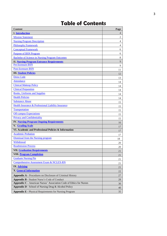## **Table of Contents**

| <b>Content</b>                                                      | Page           |
|---------------------------------------------------------------------|----------------|
| <b>I.</b> Introduction                                              | $\overline{4}$ |
| <b>Mission Statement</b>                                            | 2              |
| <b>Nursing Program Description</b>                                  | $\overline{4}$ |
| <b>Philosophy Framework</b>                                         | $\overline{4}$ |
| <b>Conceptual Framework</b>                                         | 6              |
| <b>Purpose of BSN Program</b>                                       | 6              |
| <b>Bachelor of Science in Nursing Program Outcomes</b>              | 8              |
| <b>II. Nursing Program Entrance Requirements</b>                    | 9              |
| <b>Pre-licensure BSN</b>                                            | 9              |
| <b>Post-licensure BSN</b>                                           | 11             |
| <b>III.</b> Student Policies                                        | 12             |
| <b>Dress Code</b>                                                   | 13             |
| <b>Attendance</b>                                                   | 14             |
| <b>Clinical Makeup Policy</b>                                       | 14             |
| <b>Clinical Preparation</b>                                         | 14             |
| <b>Books</b> , Uniforms and Supplies                                | 14             |
| <b>Health Policies</b>                                              | 14             |
| <b>Substance Abuse</b>                                              | 15             |
| Health Insurance & Professional Liability Insurance                 | 15             |
| Transportation                                                      | 15             |
| <b>Off-campus Expectations</b>                                      | 15             |
| <b>Privacy and Confidentiality</b>                                  | 15             |
| <b>IV. Nursing Program Ongoing Requirements</b>                     | 16             |
| V. Grading Scale                                                    | 17             |
| VI. Academic and Professional Policies & Information                | 17             |
| <b>Academic Probation</b>                                           | 17             |
| <b>Dismissal from the Nursing program</b>                           | 18             |
| Withdrawal                                                          | 20             |
| <b>Readmission Process</b>                                          | 20             |
| <b>VII. Graduation Requirements</b>                                 | 21             |
| <b>VIII.</b> Program Completion                                     | 21             |
| <b>Graduate Nursing Pin</b>                                         | 21             |
| Comprehensive Assessment Exam & NCLEX-RN                            | 21             |
| <b>IX.</b> Advising                                                 | 21             |
| <b>X.</b> General Information                                       | 22             |
| <b>Appendix A - Procedures on Disclosure of Criminal History</b>    | 27             |
| <b>Appendix B - Student Nurse's Code of Conduct</b>                 | 28             |
| Appendix C - American Nurses' Association Code of Ethics for Nurses | 30             |
| Appendix D - School of Nursing Drug & Alcohol Policy                | 40             |
| <b>Appendix E - Physical Requirements for Nursing Program</b>       | 35             |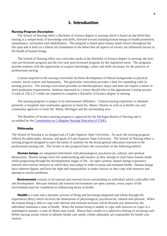#### <span id="page-3-0"></span>**I. Introduction**

#### <span id="page-3-1"></span>**Nursing Program Description**

The School of Nursing offers a Bachelor of Science degree in nursing which is based on the belief that nursing is a unique body of knowledge and skills, directed toward assisting human beings in health promotion, maintenance, restoration and rehabilitation. The program is based upon human needs theory throughout the life span and is built on a liberal arts foundation in the belief that all aspects of society are influential factors in the health of human beings.

The School of Nursing offers two curricular tracks to the Bachelor of Science degree in nursing: the fouryear pre-licensure program and the two-year post-licensure program for the registered nurse. The programs provide students with the opportunity to acquire knowledge, values and skills necessary for the practice of professional nursing.

Courses required in the nursing curriculum facilitate development of liberal backgrounds in physical science, social science and humanities. The generalist curriculum provides a base for expanding roles in nursing practice. The nursing curriculum provides an interdisciplinary major and does not require a minor to meet graduation requirements. Students interested in a minor should refer to the appropriate Catalog section. A total of 126-127 credits are required to complete a Bachelor of Science degree in nursing.

The nursing program is unique in its international affiliation. Clinical nursing experience is obtained primarily at hospitals and community agencies in Sault Ste. Marie, Ontario as well as at health care and community agencies in Sault Ste. Marie, Michigan and the surrounding area.

The Bachelor of Science nursing program is approved by the Michigan Board of Nursing and is accredited by the [Commission on Collegiate Nursing Education \(CCNE\).](http://www.aacn.nche.edu/ccne-accreditation)

#### <span id="page-3-2"></span>**Philosophy**

The School of Nursing is an integral unit of Lake Superior State University. As such, the nursing program reflects the philosophy, mission, and goals of Lake Superior State University. The School of Nursing offers a nursing program designed to meet the needs of students for the broad general education essential to the professional nursing role. The faculty in this program bases the curriculum on the following beliefs:

**Human beings** are integrated individuals with physiological, psychosocial, cultural, and spiritual dimensions. Human beings strive for understanding and mastery as they attempt to meet basic human needs while progressing through the developmental stages of life. As open systems, human beings experience internal and external stressors to which they must adapt in order to attain and maintain health. Human beings have inherent dignity and have the right and responsibility to make choices as they cope with stressors and attempt to resolve problems.

**Environment** consists of all internal and external forces surrounding an individual which could affect life and development. Because internal and external environments are open systems, every aspect of the environment must be considered an influencing factor in health.

**Health** is a state and a dynamic process of being and becoming integrated and whole through life experiences (Roy) which involves the dimensions of physiological, psychosocial, cultural and spiritual. When the human being is able to cope with internal and external stressors which threaten any dimension, the individual maintains a state of health. When the human being is unable to cope with stressors or copes in a maladaptive manner, a state of illness may result. Illness then, results in a subjective feeling of not being well. While nursing assists clients to identify health care needs, clients ultimately are responsible for health care choices.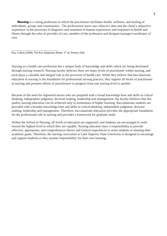**Nursing** is a caring profession in which the practitioner facilitates health, wellness, and healing of individuals, groups and communities. The professional nurse uses objective data and the client's subjective experience in the processes of diagnosis and treatment of human experiences and responses to health and illness through the roles of provider of care, member of the profession and designer/manager/coordinator of care.

\_\_\_\_\_\_\_\_\_\_\_\_\_\_\_\_\_\_\_\_\_\_\_\_\_\_\_\_\_ Roy, Callista (2008). The Roy Adaptation Model. 3rd ed. Prentice Hall

Nursing as a health care profession has a unique body of knowledge and skills which are being developed through nursing research. Nursing faculty believes there are many levels of practitioner within nursing, and each plays a valuable and integral role in the provision of health care. While they believe that baccalaureate education in nursing is the foundation for professional nursing practice, they support all levels of practitioner in nursing and promote efforts of practitioners to progress from one nursing level to another.

Because of the need for registered nurses who are prepared with a broad knowledge base and skills in critical thinking, independent judgment, decision making, leadership and management, the faculty believes that this quality nursing education can be achieved only in institutions of higher learning. Baccalaureate students are provided with a broader knowledge base and skills in critical thinking, independent judgment, decision making, leadership and management. Therefore, baccalaureate education provides the appropriate foundation for the professional role in nursing and provides a framework for graduate study.

<span id="page-4-0"></span>Within the School of Nursing, all levels of education are supported, and students are encouraged to work toward the highest level to which they are capable. Nursing educators have a responsibility to provide effective, appropriate, and comprehensive theory and clinical experiences to assist students in meeting their academic goals. Therefore, the nursing curriculum at Lake Superior State University is designed to encourage and support students as they assume responsibility for their own learning.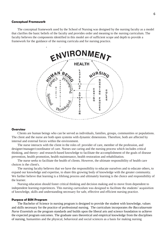#### **Conceptual Framework**

The conceptual framework used by the School of Nursing was designed by the nursing faculty as a model that clarifies the basic beliefs of the faculty and provides order and meaning to the nursing curriculum. The faculty believes the components identified in this model are of sufficient scope and depth to provide a framework for the guidance of the nursing curricula and for nursing practice.



#### **Overview**

Clients are human beings who can be served as individuals, families, groups, communities or populations. The client and the nurse are both open systems with dynamic dimensions. Therefore, both are affected by internal and external forces within the environment.

The nurse interacts with the client in the roles of: provider of care, member of the profession, and designer/manager/coordinator of care. Nurses use caring and the nursing process which includes critical thinking, and theory- and research-based knowledge to facilitate the accomplishment of the goals of disease prevention, health promotion, health maintenance, health restoration and rehabilitation.

The nurse seeks to facilitate the health of clients. However, the ultimate responsibility of health care choices is the client's.

The nursing faculty believes that we have the responsibility to educate ourselves and to educate others, to expand our knowledge and expertise, to share this growing body of knowledge with the greater community. We further believe that learning is a lifelong process and ultimately learning is the choice and responsibility of the learner.

Nursing education should foster critical thinking and decision making and to move from dependent to independent learning experiences. This nursing curriculum was designed to facilitate the students' acquisition of knowledge, skills and understanding necessary for safe, effective and efficient nursing practice.

#### <span id="page-5-0"></span>**Purpose of BSN Program**

The Bachelor of Science in nursing program is designed to provide the student with knowledge, values and skills necessary for the practice of professional nursing. The curriculum incorporates *the Baccalaureate Nurse Essentials* as the program standards and builds upon the liberal arts and science foundation to achieve the expected program outcomes. The graduate uses theoretical and empirical knowledge from the disciplines of nursing, humanities and the physical, behavioral and social sciences as a basis for making nursing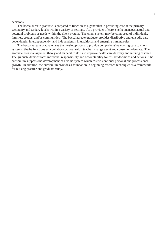decisions.

The baccalaureate graduate is prepared to function as a generalist in providing care at the primary, secondary and tertiary levels within a variety of settings. As a provider of care, she/he manages actual and potential problems or needs within the client system. The client system may be composed of individuals, families, groups, and/or communities. The baccalaureate graduate provides distributive and episodic care dependently, interdependently, and independently in traditional and emerging nursing roles.

The baccalaureate graduate uses the nursing process to provide comprehensive nursing care to client systems. She/he functions as a collaborator, counselor, teacher, change agent and consumer advocate. The graduate uses management theory and leadership skills to improve health care delivery and nursing practice. The graduate demonstrates individual responsibility and accountability for his/her decisions and actions. The curriculum supports the development of a value system which fosters continual personal and professional growth. In addition, the curriculum provides a foundation in beginning research techniques as a framework for nursing practice and graduate study.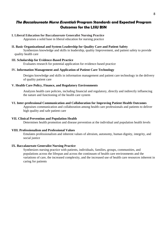### <span id="page-7-0"></span>**The Baccalaureate Nurse Essentials Program Standards and Expected Program Outcomes for the LSSU BSN**

#### **I. Liberal Education for Baccalaureate Generalist Nursing Practice** Appraises a solid base in liberal education for nursing practice

#### **II. Basic Organizational and System Leadership for Quality Care and Patient Safety**

Synthesizes knowledge and skills in leadership, quality Improvement, and patient safety to provide quality health care

#### **III. Scholarship for Evidence-Based Practice**

Evaluates research for potential application for evidence-based practice

#### **IV. Information Management and Application of Patient Care Technology**

Designs knowledge and skills in information management and patient care technology in the delivery of quality patient care

#### **V. Health Care Policy, Finance, and Regulatory Environments**

Analyzes health care policies, including financial and regulatory, directly and indirectly influencing the nature and functioning of the health care system

#### **VI. Inter-professional Communication and Collaboration for Improving Patient Health Outcomes**

Appraises communication and collaboration among health care professionals and patients to deliver high quality and safe patient care

#### **VII. Clinical Prevention and Population Health**

Determines health promotion and disease prevention at the individual and population health levels

#### **VIII. Professionalism and Professional Values**

Emulates professionalism and inherent values of altruism, autonomy, human dignity, integrity, and social justice

#### **IX. Baccalaureate Generalist Nursing Practice**

Synthesizes nursing practice with patients, individuals, families, groups, communities, and populations across the lifespan and across the continuum of health care environments and the variations of care, the increased complexity, and the increased use of health care resources inherent in caring for patients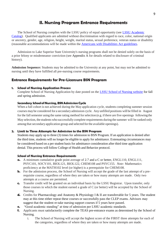## <span id="page-8-0"></span>**II. Nursing Program Entrance Requirements**

The School of Nursing complies with the LSSU policy of equal opportunity (see LSSU [Academic](http://www.lssu.edu/catalog/) [Catalog\)](http://www.lssu.edu/catalog/). Qualified applicants are admitted without discrimination with regard to race, color, national origin or ancestry, gender, age, religion, height, weight, marital status, sexual preference, veteran status or disability (reasonable accommodations will be made within the [Americans with Disabilities Act guidelines.](http://www.lssu.edu/disability/)

Admission to Lake Superior State University's nursing programs shall not be denied solely on the basis of a prior felony or misdemeanor conviction (see Appendix A for details related to disclosure of criminal history).

**Admission Sequence:** Students may be admitted to the University at any point, but may not be admitted to nursing until they have fulfilled all pre-nursing course requirements.

#### <span id="page-8-1"></span>**Entrance Requirements for Pre-Licensure BSN Program**

#### **1. School of Nursing Application Process**

Complete School of Nursing Application by date posted on the [LSSU School of Nursing website](https://www.lssu.edu/nursing/index.php) for fall and spring admission.

#### **Secondary SchoolofNursing,BSNAdmission Cycle**

When a full cohort is not achieved during the May application cycle, students completing summer session courses maybe considered for a secondary admission cycle. Any unfilled positions will be filled in August for the fall semester using the same rating method for selection (e.g. if there are five openings following the May selection, the students who successfullycomplete requirements during the summer will be ranked only among that secondary application group and selected for the available openings).

#### **2. Limit to Three Attempts for Admission to the BSN Program**

Students may apply up to three (3) times for admission to BSN Program. If an application is denied after the third time, students will no longer be eligible to apply for admittance. Extenuating circumstances may be considered based on a per student basis for admittance consideration after third time application denial. This process will follow College of Health and Behavior protocol.

#### **School of Nursing Entrance Requirements**

- **a.** A minimum cumulative grade point average of 2.7 and a C or better, ENGL110, ENGL111, PSYC101, SOCY101, BIOL121, BIOL122, CHEM108 and PSYC155. *Note:* Mathematics proficiency at the MATH102 level (or higher) is a prerequisite for CHEM108.
- **b.** For the admission process, the School of Nursing will accept the grade of the last attempt of a prerequisite course, regardless of where they are taken or how many attempts are made. Only two attempts at a course are permitted.
- **c.** Transfer credit will be granted on an individual basis by the LSSU Registrar. Upon transfer, only those courses in which the student earned a grade of C (or better) will be accepted by the School of Nursing.
- **d.** Credits for Pharmacology and Anatomy & Physiology I & II are transferrable for 5 years. The student may at this time either repeat these courses or successfully pass the CLEP exams. Advisors may suggest that the student re-take nursing support courses if 5 years have passed.
- **e.** "Good academic standing" at time of admission per LSSU academic standards.
- **f.** Applicants must satisfactorily complete the TEAS pre-entrance exams as determined by the School of Nursing.
	- i. The School of Nursing will accept the highest score of the FIRST three attempts for each of the categories, regardless of where they are taken or how many attempts are made.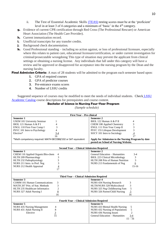- ii. The Test of Essential Academic Skills [\(TEAS\)](https://www.atitesting.com/Solutions/pre-program/TEAS.aspx) testing scores must be at the 'proficient' level in at least 3 of 4 categories and a minimum of 'basic' in the 4<sup>th</sup> category.
- **g.** Evidence of current CPR certification through Red Cross (The Professional Rescuer) or American Heart Association (The Health Care Provider).
- **h.** Current immunization record.
- **i.** Unofficial transcripts for any transfer credits.
- **j.** Background check documentation.
- **k.** Good Professional standing including no action against, or loss of professional licensure, especially where this relates to patient care, educational licensure/certification, or under current investigation for criminal/prosecutable wrongdoing This type of situation may prevent the applicant from clinical settings or obtaining a nursing license. Any individuals that fall under this category will have a review and be approved or disapproved for acceptance into the nursing program by the Dean and the nursing faculty.

**Final Admission Criteria:** A max of 28 students will be admitted to the program each semester based upon:

- **1.** GPA of required courses
- **2.** GPA of predictor courses
- **3.** Pre-entrance exams scores
- **4.** Number of LSSU credits

Suggested sequence of courses may be modified to meet the needs of individual students. [Check](http://www.lssu.edu/catalog/) LSSU [Academic Catalog](http://www.lssu.edu/catalog/) course descriptions for prerequisites and course content.

#### **Bachelor of Science in Nursing Four-Year Program**

*(Sample schedule)*

| <b>First Year - Pre-clinical</b>                                                                                    |                                                 |  |
|---------------------------------------------------------------------------------------------------------------------|-------------------------------------------------|--|
| <b>Semester 1</b>                                                                                                   | Semester 2                                      |  |
| <b>USEM 101 University Seminar</b>                                                                                  | BIOL 122 Human A & P II<br>4                    |  |
| BIOL 121 Human A & P I<br>4                                                                                         | 3<br>CHEM 108 Applied Chemistry                 |  |
| 3<br>ENGL 110 First-Year Comp I                                                                                     | 3<br>ENGL 111 First-Year Comp II                |  |
| PSYC 101 Intro to Psychology<br>$\overline{4}$                                                                      | 3<br>PSYC 155 Lifespan Development              |  |
| $3 - 4$<br>Elective*                                                                                                | $\overline{4}$<br>SOCY 101 Intro to Sociology   |  |
| 16                                                                                                                  | 17                                              |  |
| Apply for Admission to the Nursing Program by date<br>*Math competency required: MATH 087/088/102 or SAT equivalent |                                                 |  |
|                                                                                                                     | posted on School of Nursing Website.            |  |
|                                                                                                                     |                                                 |  |
| <b>Second Year - Clinical Admission Required</b>                                                                    |                                                 |  |
| Semester 1                                                                                                          | Semester 2                                      |  |
| CHEM 110 Applied Organic/Bio-chem<br>4                                                                              | General Education - Humanities<br>$3-4$         |  |
| 3<br>HLTH 209 Pharmacology                                                                                          | <b>BIOL 223 Clinical Microbiology</b><br>3      |  |
| 3<br>HLTH 232 Pathophysiology                                                                                       | HLTH 208 Prin of Human Nutrition<br>3           |  |
| NURS 211 Intro. to Prof. Nsg<br>3                                                                                   | NURS 213 Fundamentals of Nsg<br>6               |  |
| $\overline{4}$<br>NURS 212 Health Appraisal                                                                         | $15 - 16$                                       |  |
| 17                                                                                                                  |                                                 |  |
| Third Year - Clinical Admission Required                                                                            |                                                 |  |
| Semester 4<br>Semester 3                                                                                            |                                                 |  |
| COMM 101 Human Communications<br>3                                                                                  | <b>NURS 434 Nursing Research</b><br>3           |  |
| 3<br>MATH 207 Prin. of Stat. Methods                                                                                | HLTH/NURS 328 Multicultural<br>3                |  |
| $\overline{\mathbf{c}}$<br>HLTH 235 Healthcare Informatics                                                          | 5<br>NURS 325 Nsg Childbearing Fam              |  |
| $\underline{8}$<br>NURS 327 Adult Nursing I                                                                         | $\overline{5}$<br>NURS 326 Parent/Child Nursing |  |
| 16                                                                                                                  | 16                                              |  |
|                                                                                                                     |                                                 |  |
| <b>Fourth Year – Clinical Admission Required</b>                                                                    |                                                 |  |
| Semester 5                                                                                                          | Semester 6                                      |  |
| <b>NURS 435 Nursing Management</b><br>4                                                                             | NURS 433 Mental Health Nursing<br>5             |  |
| 8<br>NURS 431 Adult Nursing II                                                                                      | 5<br>NURS 432 Nursing of Populations            |  |
| $\frac{3}{15}$<br>Elective                                                                                          | $\overline{c}$<br>NURS 436 Nursing Issues       |  |
|                                                                                                                     | General Education - Humanities<br>$3-4$         |  |
|                                                                                                                     | $15 - 16$                                       |  |
|                                                                                                                     |                                                 |  |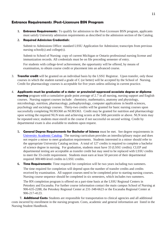#### <span id="page-10-0"></span>**Entrance Requirements /Post-Licensure BSN Program**

**1. Entrance Requirements:** To qualify for admission to the Post-Licensure BSN program, applicants must satisfy University admission requirements as described in the admission section of the Catalog.

#### **2. Required Admission Credentials:**

Submit to Admissions Office: standard LSSU Application for Admission; transcripts from previous nursing school(s) and college(s).

Submit to School of Nursing: copy of current Michigan or Ontario professional nursing license and immunization records. All credentials must be on file preceding semester of entry.

For students with college-level achievement, the opportunity will be offered, by means of examination, to obtain course credit or placement into an advanced course.

- 3. **Transfer credit** will be granted on an individual basis by the LSSU Registrar. Upon transfer, only those courses in which the student earned a grade of C (or better) will be accepted by the School of Nursing. Credit for pharmacology courses is acceptable for five years unless utilizing in current practice.
- 4. **Applicants must be graduates of a state- or provincial-approved associate degree or diploma nursing** program with a cumulative grade point average of 2.7 in all nursing, nursing support and English courses. Nursing support courses include: chemistry, mathematics, anatomy and physiology, microbiology, nutrition, pharmacology, pathophysiology, computer applications in health sciences, psychology and sociology courses. Thirty-two credits will be granted for basic nursing courses upon successfully completing NURS360 an NURS363. Credit may be granted for nutrition and pharmacology upon writing the required NLN tests and achieving scores at the 50th percentile or above. NLN tests may be repeated once; students must enroll in the course if not successful on second writing. Credit by departmental exam is also available to students upon request.
	- **5. General Degree Requirements for Bachelor of Science** must be met. See degree requirements in [University](http://www.lssu.edu/catalog/) Academic Catalog. The nursing curriculum provides an interdisciplinary major and does not require a minor to meet graduation requirements. Students interested in a minor should refer to the appropriate University Catalog section. A total of 127 credits is required to complete a bachelor of science degree in nursing. For graduation, students must have 33 (LSSU credits). CLEP and departmental testing are acceptable as transfer credit but may need to be replaced with LSSU credits to meet the 33-credit requirement. Students must earn at least 50 percent of their departmental required 300/400-level credits in LSSU credits.
	- **6. Time Requirements:** Time required for completion will be two years including two summers. The time required for completion will depend upon the number of transfer credits and credits received by examination. All support courses need to be completed prior to starting nursing courses. Nursing course sequence should be completed in six semesters, which includes two summers.

The RN completion program is offered on a part-time basis at the LSSU Regional Centers in Petoskey and Escanaba. For further course information contact the main campus School of Nursing at 906-635-2288, the Petoskey Regional Center at 231-348-6623 or the Escanaba Regional Center at 906-217-4123.

 **7. Additional Costs:** Students are responsible for transportation to clinical agencies and all additional costs incurred by enrollment in the nursing program. Costs, academic and general information are listed in the Nursing Student Handbook.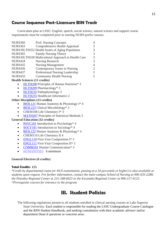## **Course Sequence Post-Licensure BSN Track**

Curriculum plan at LSSU: English, speech, social science, natural science and support course requirements must be completed prior to starting NURS-prefix courses.

| <b>NURS360</b> | Prof. Nursing Concepts                             |   |
|----------------|----------------------------------------------------|---|
| <b>NURS363</b> | Comprehensive Health Appraisal                     |   |
|                | NURS/HLTH352 Health Issues of Aging Population     |   |
| <b>NURS365</b> | Family Nursing Theory                              |   |
|                | NURS/HLTH328 Multicultural Approach to Health Care |   |
| NURS434        | Nursing Research                                   |   |
| <b>NURS435</b> | <b>Nursing Management</b>                          | 4 |
| <b>NURS436</b> | Contemporary Issues in Nursing                     |   |
| <b>NURS437</b> | Professional Nursing Leadership                    |   |
| NURS432        | <b>Community Health Nursing</b>                    |   |
|                |                                                    |   |

#### **Health Sciences (11 credits)**

- [HLTH208](http://www.lssu.edu/cms_catalog_course_descriptions/index.php?courseid=HLTH208) Principles of Human Nutrition\* 3
- [HLTH209](http://www.lssu.edu/cms_catalog_course_descriptions/index.php?courseid=HLTH209) Pharmacology\* 3
- [HLTH232](http://www.lssu.edu/cms_catalog_course_descriptions/index.php?courseid=HLTH232) Pathophysiology 3
- [HLTH235](http://www.lssu.edu/cms_catalog_course_descriptions/index.php?courseid=HLTH235) Healthcare Informatics 2

#### **Other Disciplines (13 credits)**

- [BIOL121](http://www.lssu.edu/cms_catalog_course_descriptions/index.php?courseid=BIOL121) Human Anatomy & Physiology I\* 4
- [BIOL223](http://www.lssu.edu/cms_catalog_course_descriptions/index.php?courseid=BIOL223) Clinical Microbiology\* 3
- CHEM108 Life Chemistry I\* 3
- [MATH207](http://www.lssu.edu/cms_catalog_course_descriptions/index.php?courseid=MATH207) Principles of Statistical Methods 3

#### **General Education (32 credits)**

- [PSYC101](http://www.lssu.edu/cms_catalog_course_descriptions/index.php?courseid=PSYC101) Introduction to Psychology\* 4
- [SOCY101](http://www.lssu.edu/cms_catalog_course_descriptions/index.php?courseid=SOCY101) Introduction to Sociology<sup>\*</sup> 4
- [BIOL122](http://www.lssu.edu/cms_catalog_course_descriptions/index.php?courseid=BIOL122) Human Anatomy & Physiology\* 4
- CHEM110 Life Chemistry II 4
- [ENGL110](http://www.lssu.edu/cms_catalog_course_descriptions/index.php?courseid=ENGL110) First-Year Composition I\*3
- [ENGL111](http://www.lssu.edu/cms_catalog_course_descriptions/index.php?courseid=ENGL111) First-Year Composition II\* 3
- **[COMM101](http://www.lssu.edu/cms_catalog_course_descriptions/index.php?courseid=COMM101) Human Communication\* 3**
- HUMANITIES 6 minimum

#### **General Electives (6 credits)**

#### **Total Credits: 125**

*\*Credit by departmental exam (or NLN examination, passing at a 50 percentile or higher) is also available to students upon request. For further information, contact the main campus School of Nursing at 906-635-2288, the Petoskey Regional Center at 231-348-6623 or the Escanaba Regional Center at 906-217-4123. \*Prerequisite courses for entrance to the program.*

## <span id="page-11-0"></span>**III. Student Policies**

The following regulations pertain to all students enrolled in clinical nursing courses at Lake Superior State University. Each student is responsible for reading the LSSU Undergraduate Course Catalogue and the BSN Student Handbook, and seeking consultation with their academic advisor/ and/or department Dean if questions or concerns arise.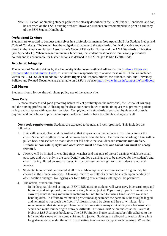Note: All School of Nursing student policies are clearly described in the BSN Student Handbook, and can be accessed on the LSSU nursing website. However, students are recommended to print a hard copy of the BSN Student Handbook.

#### **Professional Conduct**

Students are expected to conduct themselves in a professional manner (see Appendix B for Student Pledge and Code of Conduct). The student has the obligation to adhere to the standards of ethical practice and conduct stated in the American Nurses' Association's Code of Ethics for Nurses and the ANA Standards of Practice (see Appendix C). When engaged in nursing functions, the student must do so within legally prescribed bounds and is accountable for his/her actions as defined in the Michigan Public Health Code.

#### **Academic Integrity**

The School of Nursing abides by the University Rules as set forth and adheres to the [Students Rights and](https://www.lssu.edu/campuslife/handbook/)  [Responsibilities and Student Code.](https://www.lssu.edu/campuslife/handbook/) It is the student's responsibility to review these rules. These are included within the LSSU Student Handbook: Students Rights and Responsibilities, the Student Code, and University Policies and Related Documents are available on LSSU's website<https://www.lssu.edu/campuslife/handbook/>

#### **Cell Phones**

Students should follow the cell phone policy use of the agency site.

#### **Dress Code**

Personal neatness and good grooming habits reflect positively on the individual, the School of Nursing and the nursing profession. Adhering to the dress code contributes to maintaining asepsis, promotes patient safety, and complies with agencies' policies. Complying with standards of personal hygiene and dress is required and contributes to positive interpersonal relationships between clients and agency staff.

<span id="page-12-0"></span>**Dress code requirements:** Students are expected to be neat and well-groomed. This includes the following:

- 1. Hair will be neat, clean and controlled so that asepsis is maintained when providing care for the client. Shoulder length hair should be drawn back from the face. Below-shoulders-length hair will be pulled back and secured so that it does not fall below the shoulders and **remains motion free. Unnatural hair colors, styles and accessories must be avoided, and facial hair must be neatly trimmed.**
- 2. Jewelry will be limited to wedding rings, watches and one pair of pierced earrings which are small, post-type and worn only in the ears. Dangly and loop earrings are to be avoided for the student's and client's safety. Based on asepsis issues, instructors reserve the right to have students remove all jewelry.
- 3. Students' tattoos must be covered at all times. Make up must be conservative. No gum may be chewed in the clinical agencies. Cleavage, midriff, or buttocks cannot be visible upon bending or other position changes. No leggings or form fitting or revealing clothing will be permitted.
- 4. The official student uniform:

In the hospital/clinical setting all BSN LSSU nursing students will wear navy blue scrub tops and bottoms, and an optional purchase of a navy blue lab jacket. Tops must properly fit to assure **no skin exposure during movement** including but not limited to raising hands above waist and bending over. In efforts to maintain a professional appearance the pants must be straight-legged and hemmed to not touch the floor. I Uniforms should be clean and free of wrinkles. It is recommended that students purchase two scrub sets since many clinical days are back-to-back which can make laundering in between difficult. Uniforms *must* be purchased at the Barnes & Noble at LSSU campus bookstore. The LSSU Student Nurse patch must be fully adhered to the left shoulder sleeve of the scrub shirt and lab jacket. Students are allowed to wear a plain white long sleeve t-shirt under the scrub top if setting temperatures support such layering. When the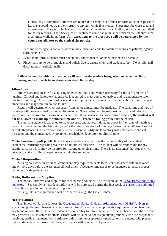clinical day is completed, students are required to change out of their uniform as soon as possible i.e. they should not wear their scrubs to any non-clinical activities. Shoes must be close-toed and close-heeled. They must be leather or vinyl and all white in color. Platform-type is not permitted for safety reasons. The LSSU picture ID student name badge must be worn on the left chest area at all times while in uniform. **Any exceptions to the dress code will be determined by the course coordinator or the clinical site policies.**

- 5. Perfume or cologne is not to be worn in the clinical area due to possible allergies of patients, agency staff, peers, etc.
- 6. While in uniform, students must not smoke, chew tobacco, or smell of tobacco or smoke.
- 7. Fingernails are to be short, clean and polish-free to ensure client and student safety. No acrylic, nail decorations or artificial nails.

#### **Failure to comply with the dress code will result in the student being asked to leave the clinical setting and will result in an absence for that clinical day.**

#### <span id="page-13-0"></span>**Attendance**

Students are responsible for acquiring knowledge, skills and values necessary for the safe practice of nursing. Clinical and laboratory attendance is required to meet course objectives and to demonstrate safe practice of nursing. Absence or tardiness makes it impossible to evaluate the student's ability to meet course objectives and may result in course failure.

Faculty will determine which absences from lab or clinical must be made up. The date, time and type of make-up will be determined by the faculty member. The student will be responsible for any additional costs which may be incurred for making up clinical time. If the absence is a non-excused absence, **the student will not be allowed to make up the clinical time and will receive a failing grade for the course.**

The nursing student is expected to make accurate and honest judgments about his/her state of health as a reason for not attending the laboratory and/or the clinical sections of nursing courses. When illness does not permit attendance, it is the responsibility of the student to notify the laboratory instructor and/or clinical instructor and the clinical agency **prior** to the scheduled laboratory or clinical time.

<span id="page-13-1"></span>**Clinical make-up policy:** All clinical hours must be made up. It is the responsibility of the student to contact the instructor regarding make-up of all clinical absences. The student will be responsible for any additional costs which may be incurred for making up clinical time. There is no guarantee that students will be able to make up clinical experiences within that semester.

#### <span id="page-13-2"></span>**Clinical Preparation**

Nursing courses with a clinical component may require students to collect assessment data in advance, one or more days before the assigned clinical times. Adequate time needs to be budgeted to ensure proper planning of safe patient care.

#### <span id="page-13-3"></span>**Books, Uniforms and Supplies**

Textbooks, uniforms and supplies for each nursing course will be available at the [LSSU Barnes and Noble](http://lssu.bncollege.com/webapp/wcs/stores/servlet/BNCBHomePage?storeId=50060&catalogId=10001&langId=-1)  [bookstore.](http://lssu.bncollege.com/webapp/wcs/stores/servlet/BNCBHomePage?storeId=50060&catalogId=10001&langId=-1) See supply list. Student uniforms will be purchased during the first week of classes once admitted to the clinical portion of the nursing program.

Nursing ID's are required and will be ordered through the Cisler Center.

#### <span id="page-13-4"></span>**Health Policies**

The School of Nursing follows the [Occupational Safety & Health Administration](https://www.osha.gov/SLTC/etools/hospital/hazards/univprec/univ.html) (OSHA) Universal Precaution [guidelines. N](https://www.osha.gov/SLTC/etools/hospital/hazards/univprec/univ.html)ursing students are required to wear personal protective equipment when handling any blood or body fluids. It is the student's responsibility to inform faculty of personal health conditions which may present a risk to selves or others. Efforts will be taken to not assign nursing students who are pregnant or receiving medical treatment with corticosteroids or immunosuppressant medications to patients who present risks to students with those conditions, accordance with standards of practice.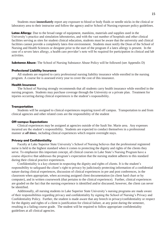Students must **immediately** report any exposure to blood or body fluids or needle sticks in the clinical or laboratory area to their instructor and follow the agency and/or School of Nursing exposure policy guidelines.

**Latex Allergy:** Due to the broad range of equipment, manikins, materials and supplies used in the University's practice and simulation laboratories, and with the vast number of hospitals and other clinical facilities serving as sites for student clinical education, students must be aware that the university and clinical facilities cannot provide a completely latex-free environment. Students must notify the Dean of the School of Nursing and Health Sciences or designee prior to the start of the program if a latex allergy is present. In the case of a severe latex allergy, a health care provider's note will be required for participation in clinical and lab activities.

<span id="page-14-0"></span>**Substance Abuse:** The School of Nursing Substance Abuse Policy will be followed (see Appendix D)

#### <span id="page-14-1"></span>**Professional Liability Insurance**

All students are required to carry professional nursing liability insurance while enrolled in the nursing program. A course fee is assessed every year to cover the cost of this insurance.

#### **Health Insurance**

The School of Nursing strongly recommends that all students carry health insurance while enrolled in the nursing program. Students may purchase coverage through the University or a private plan. Treatment for injuries occurring during clinical experiences is the student's responsibility.

#### <span id="page-14-2"></span>**Transportation**

Students will be assigned to clinical experiences requiring travel off campus. Transportation to and from clinical agencies and other related costs are the responsibility of the student

#### <span id="page-14-3"></span>**Off-campus Expectations**

Clinical experiences may be assigned at agencies outside of the Sault Ste. Marie area. Any expenses incurred are the student's responsibility. Students are expected to conduct themselves in a professional manner at *all times*, including clinical experiences which require overnight stays.

#### <span id="page-14-4"></span>**Privacy and Confidentiality**

Faculty at Lake Superior State University's School of Nursing believes that the professional registered nurse is held to the highest standard when it comes to protecting the dignity and rights of the clients they serve. To emphasize this important concept, all clinical courses in Lake State's Nursing Program have a course objective that addresses the program's expectation that the nursing student adheres to this standard during their clinical practice experiences.

Confidentiality is a key element in respecting the dignity and rights of clients. It is the student's responsibility to safeguard the client's right to privacy by judiciously protecting information of a confidential nature during clinical experiences, discussion of clinical experiences in pre and post conferences, in the classroom when appropriate, when accessing assigned client documentation (in client hard chart or by computer), and in written coursework (that pertains to the clinical experience). Further, clinical experiences are graded on the fact that the nursing experience is identified and/or discussed; however, the client can never be identified.

Additionally, all nursing students in Lake Superior State University's nursing programs are made aware of their responsibilities regarding privacy and confidentiality by signing the School of Nursing's Privacy and Confidentiality Policy. Further, the student is made aware that any breech in privacy/confidentiality or respect for the dignity and rights of a client is justification for clinical failure, at any point during the semester, resulting in a failing course grade. The student will be required to follow appropriate confidentiality guidelines at all clinical agencies.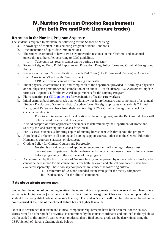## **IV. Nursing Program Ongoing Requirements (For both Pre and Post-Licensure tracks)**

#### <span id="page-15-0"></span>**Retention in the Nursing Program Sequence**

The student is required to maintain the following for the School of Nursing:

- a. Knowledge of content in this Nursing Program Student Handbook
- b. Documentation of up-to-date immunizations.
- c. The student is required to have a two-step tuberculin test once in their lifetime, and an annual tuberculin test thereafter according to CDC guidelines.
	- i. Tuberculin test results cannot expire during a semester.
- d. Record of signed Body Fluid Exposure and Protection, Drug Policy forms and Criminal Background **Policy**
- e. Evidence of current CPR certification through Red Cross (The Professional Rescuer) or American Heart Association (The Health Care Provider).
	- i. CPR certification cannot expire during a semester.
- f. Initial physical examination (PE) and completion of the department provided PE form by a physician or non-physician practitioner and completion of an annual 'Health History/Risk Assessment' update form (see Appendix E for the Physical Requirements for the Nursing Program)
- g. Flu vaccination pe[r CDC guidelines](http://www.cdc.gov/vaccines/spec-grps/hcw.htm) for vaccination of health care workers.
- h. Initial criminal background check that would allow for future licensure and completion of an annual 'Student Disclosure of Criminal History' update form. Foreign applicants must submit Criminal Background Reference check from their country. Eg. RCMP Criminal Background check for Canadian applicants
	- i. Prior to admission to the clinical portion of the nursing program, the Background check will only be valid for a period of one year.
- i. A valid passport or other appropriate documents as determined by the Department of Homeland Security for land crossing into Canada for clinical.
- j. For RN-BSN students, submitting copies of nursing license renewals throughout the program
- k. A grade of C or better in all nursing and nursing support courses (other than the General Education Humanities courses, statistics, or electives).
- l. Grading Policy for Clinical Courses and Progression:
	- i. Nursing is an evidence-based applied science program. All nursing students must demonstrate competence in both the theory and clinical components of each clinical course before progressing to the next level of our program.
- ii. As determined by the LSSU School of Nursing faculty and approved by our accreditors, final grades cannot be determined for the course until after both the exam and clinical components have been evaluated separately. These two key components must meet the following criteria:
	- i. a minimum of 72% non-rounded exam average for the theory component
	- ii. "Satisfactory" for the clinical component.

#### **If the above criteria are not met:**

Student has the option of continuing to attend the non-clinical components of the course and complete course activities including exams [with the exception of the Criminal Background Check as this would preclude a student from being able to obtain a nursing license]. The student's grade will then be determined based on the points earned at the time of the clinical failure but not higher than a C-.

Once it is determined that exam and clinical component requirements have both been met for the course, scores earned on other graded activities (as determined by the course coordinator and outlined in the syllabus) will be added to the student's earned exam grades so that a final course grade can be determined using the LSSU School of Nursing Grading Scale below: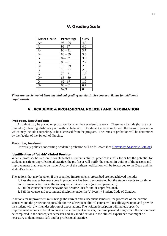<span id="page-16-0"></span>

| <b>Letter Grade</b> | Percentage | GPA |
|---------------------|------------|-----|
| $A+$                | 98-100     | 4.0 |
| A                   | $92 - 97$  | 4.0 |
| $A-$                | $90 - 91$  | 3.7 |
| $B+$                | $88 - 89$  | 3.3 |
| B                   | $82 - 87$  | 3.0 |
| $B -$               | $80 - 81$  | 2.7 |
| $\mathrm{C}+$       | $78 - 79$  | 2.3 |
| $\mathbf C$         | $72 - 77$  | 2.0 |
| $C-$                | $70 - 71$  | 1.7 |
| $D+$                | $68 - 69$  | 1.3 |
| D                   | $62 - 67$  | 1.0 |
| $D-$                | $60 - 61$  | 0.7 |
| $\mathbf{F}$        | $0-59$     | 0   |

#### **V. Grading Scale**

*These are the School of Nursing minimal grading standards. See course syllabus for additional requirements.*

#### **VI. ACADEMIC & PROFESSIONAL POLICIES AND INFORMATION**

#### **Probation, Non-Academic**

A student may be placed on probation for other than academic reasons. These may include (but are not limited to): cheating, dishonesty or unethical behavior. The student must comply with the terms of probation, which may include counseling, or be dismissed from the program. The terms of probation will be determined by the faculty of the School of Nursing.

#### <span id="page-16-1"></span>**Probation, Academic**

University policies concerning academic probation will be followed (see [University Academic Catalog\)](http://www.lssu.edu/catalog/).

#### <span id="page-16-2"></span>**Identification of "at risk" clinical Practice**

When a professor has reason to conclude that a student's clinical practice is at risk for or has the potential for students unsafe or unprofessional practice, the professor will notify the student in writing of the reasons and improvements that need to be made. A copy of the written notification will be forwarded to the Dean and the student's advisor.

The actions that may be taken if the specified improvements prescribed are not achieved include:

1. Pass the course because some improvement has been demonstrated but the student needs to continue improvement activities in the subsequent clinical course (see next paragraph).

- 2. Fail the course because behavior has become unsafe and/or unprofessional.
- 3. Fail the course and recommend discipline under the University Student Code of Conduct.

If actions for improvement must bridge the current and subsequent semester, the professor of the current semester and the professor responsible for the subsequent clinical course will usually agree upon and provide the student with a written description of expectations. The written description will include specific improvement actions to be taken during the subsequent semester, the time period during which the action must be completed in the subsequent semester and any modifications in the clinical experience that might be necessary to demonstrate safe and/or professional practice.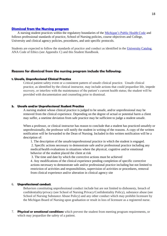#### **Dismissal [from the Nursing program](#page-16-2)**

A nursing student practices within the regulatory boundaries of the [Michigan's Public Health Code](http://www.michigan.gov/lara/0,4601,7-154-72600_72603_27529_27542-295888--,00.html) and follows professional standards of practice, School of Nursing policies, course objectives and College, University and clinical agency policies, procedures, and unit specific protocols.

Students are expected to follow the standards of practice and conduct as identified in the [University Catalog,](http://www.lssu.edu/catalog/) ANA Code of Ethics (see Appendix C) and this Student Handbook.

#### **Reasons for dismissal from the nursing program include the following:**

#### **1. Unsafe, Unprofessional Clinical Practice**

Critical patient safety event or a consistent pattern of unsafe clinical practice. Unsafe clinical practice, as identified by the clinical instructor, may include actions that could jeopardize life, impede recovery, or interfere with the maintenance of the patient's current health status; the student will be provided with documentation and counseling prior to dismissal.

#### **5. Unsafe and/or Unprofessional Student Practice**

A nursing student whose clinical practice is judged to be unsafe, and/or unprofessional may be removed from the clinical experience. Depending on the degree of actual or potential harm a client may suffer, a onetime deviation from safe practice may be sufficient to judge a student unsafe.

When a professor, or clinical instructor has reason to conclude that a student has practiced unsafely or unprofessionally, the professor will notify the student in writing of the reasons. A copy of the written notification will be forwarded to the Dean of Nursing. Included in this written notification will be a description of:

1. The description of the unsafe/unprofessional practice in which the student is engaged.

2. Specific actions necessary to demonstrate safe and/or professional practice including any medical/health evaluations in situations where the physical, cognitive and/or emotional behavior of the student placed the client at risk

3. The time and date by which the corrective actions must be achieved

4. Any modifications of the clinical experience pending completion of specific corrective actions necessary to demonstrate safe and/or professional practice including but not limited to restriction of activities and responsibilities, supervision of activities or procedures, removal from clinical experience and/or alteration in clinical agency site

#### 6. **Unprofessional conduct**.

Behaviors constituting unprofessional conduct include but are not limited to dishonesty, breach of confidentiality/privacy (see School of Nursing Privacy/Confidentiality Policy), substance abuse (see School of Nursing Substance Abuse Policy) and any other conduct which may prohibit licensure by the Michigan Board of Nursing upon graduation or result in loss of licensure as a registered nurse.

7. **Physical or emotional conditions** which prevent the student from meeting program requirements, or which may jeopardize the safety of a patient.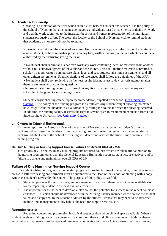#### **8. Academic Dishonesty**

Cheating is a violation of the trust which should exist between student and teacher. It is the policy of the School of Nursing that all students be judged as individuals based on the merits of their own work and that the work submitted to the instructor be a true and honest representation of the individual student's productive effort. Therefore, the faculty of the School of Nursing wish to remind students that academic dishonesty will not be tolerated.

No student shall during the course of an exam offer, receive, or copy any information of any kind to another student, or have in his/her possession any tool, written material, or device which has not been authorized by the instructor giving the exam.

• No student shall submit as his/her own work any work containing ideas, or materials from another without full acknowledgment of the author and the source. This shall include materials submitted as scholarly papers, written nursing care plans, logs, and case studies, take home assignments, and all other written assignments. Specific citations of references shall follow the guidelines of the APA. • No student shall upon reviewing his/her test results (during a test review period) attempt to alter them in any manner or copy the questions.

• No student shall sell, give away, or furnish in any form any questions or answers to any exam scheduled to be given to any nursing course.

Students caught cheating can be, upon recommendation, expelled from school [\(see University](https://www.lssu.edu/campuslife/handbook/)  [Catalog\)](https://www.lssu.edu/campuslife/handbook/). The policy of the nursing program is as follows: Any student caught cheating, no matter how insignificant the incident, risks automatically failing the course in which the cheating occurred. In addition, the nursing faculty reserves the right in severe cases to recommend expulsion from Lake Superior State University [\(see University Catalog\).](https://www.lssu.edu/campuslife/handbook/)

#### **9. Change in Criminal Background.**

Failure to report to the Associate Dean of the School of Nursing a change in the student's criminal background will result in dismissal from the Nursing program. After review of the change in criminal background, the Dean of the School of Nursing will determine whether the student may continue in the nursing program.

#### **10. Two Nursing or Nursing Support Course Failures or Overall GPA of < 2.0**

Two grades of C- or below in any nursing program required courses which are taken after admission to the nursing program, other than the General Education Humanities courses, statistics, or electives, and/or failure to achieve and maintain an overall GPA of 2.0.

#### **Failure of One Nursing or Nursing Support Course**

If a student wishes to progress in the nursing program following failure of one nursing, or nursing support course, a letter requesting **continuation** must be submitted to the Dean of the School of Nursing with a copy sent to the student's adviser by the student. The purpose of this policy is twofold:

- 1. Students' progress through the program as a member of a cohort, there may not be an available slot for the repeating student in the next available course.
- 2. It is important for the student to develop a plan so that the potential for success in the repeat course is enhanced. This plan should be developed with the Nursing Faculty member whose course the student failed and a copy sent to the student's advisor by the student. Issues that may need to be addressed include time management, study habits, the need for support services, etc.

#### **Repeating courses**

Repeating courses and progression in clinical sequence depend on clinical space available. When a student receives a failing grade in a course with a classroom theory and clinical component, both the theory and clinical components must be repeated. Students who receive less than a C in courses other than nursing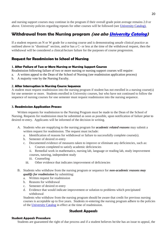and nursing support courses may continue in the program if their overall grade point average remains 2.0 or above. University policies regarding repeats for other courses will be followed (see [University Catalog\).](http://www.lssu.edu/cmscatalog1213/)

## **Withdrawal from the Nursing program (see als[o University Catalog\)](http://www.lssu.edu/cmscatalog1213/)**

If a student requests an N or W grade for a nursing course and is demonstrating unsafe clinical practice as outlined above in "dismissal" section, and/or has a C- or less at the time of the withdrawal request, then the withdrawal will be considered a clinical/lecture failure for the purposes of course progression.

#### **Request for Readmission to School of Nursing**

#### **1. After Failure of Two or More Nursing or Nursing Support Courses**

Readmission following failure of two or more nursing or nursing support courses will require:

- a. A written appeal to the Dean of the School of Nursing (see readmission application process)
- b. A majority vote by the Nursing Faculty.

#### **2. After Interruption in Nursing Course Sequence**

A student must request readmission into the nursing program if student has not enrolled in a nursing course(s) for one semester or more. Students enrolled in University courses, but who have not continued to follow the sequence of nursing courses for one semester must request readmission into the nursing sequence.

#### <span id="page-19-0"></span>**3. Readmission Application Process**

Written requests for readmission to the Nursing Program must be made to the Dean of the School of Nursing. Requests for readmission must be submitted as soon as possible, upon notification of failure prior to desired re-entry. Applicants will be informed of the decision in writing.

- A. Students who are reapplying to the nursing program for *academic related reasons* may submit a written request for readmission. The request must include:
	- a. Identification of reasons for withdrawal or failure to successfully complete course(s).
	- b. Semester of desired re-entry
	- c. Documented evidence of measures taken to improve or eliminate any deficiencies, such as:
		- i. Courses completed to satisfy academic deficiencies
		- ii. Remedial work in mathematics, nursing lab, language or reading lab, study improvement courses, tutoring, independent study
		- iii. Counseling
		- iii. Other evidence that indicates improvement of deficiencies
- B. Students who withdraw from the nursing program or sequence for *non-academic reasons may qualify for readmission* by submitting:
	- a. Written request for readmission
	- b. Reasons for withdrawal
	- c. Semester of desired re-entry
	- d. Evidence that would indicate improvement or solution to problems which precipitated withdrawal

Students who withdraw from the nursing program should be aware that credit for previous nursing courses is acceptable up to five years. Students re-entering the nursing program adhere to the policies of the [University Catalog](http://www.lssu.edu/cmscatalog1213/) in effect at the time of readmission.

#### **Student Appeals**

#### **Student Appeals Procedure**

Students are guaranteed the right of due process and if a student believes he/she has an issue to appeal, the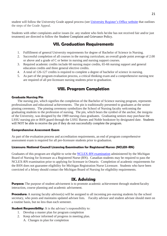student will follow the University Grade appeal process (see [University Register's Office website](http://www.lssu.edu/registrar/documents/GradeAppealRecordofActionForm_000.pdf) that outlines the steps of the Grade Appeal.

<span id="page-20-0"></span>Students with other complaints and/or issues (ie. any student who feels he/she has not received fair and/or just treatment) are directed to follow the Student Complaint and Grievance Policy.

## **VII. Graduation Requirements**

- 1. Fulfillment of general University requirements for degree of Bachelor of Science in Nursing.
- 2. Successful completion of all courses in the nursing curriculum; an overall grade point average of 2.00 or above and a grade of C or better in nursing and nursing support courses.
- 3. Required academic credits include 60 nursing major credits, 65-66 nursing support and general education credits and three general elective credits.
- 4. A total of 126-127 credits is required to complete a degree of bachelor of science in nursing.
- 5. As part of the program evaluation process, a critical thinking exam and a comprehensive nursing test are required of all pre-licensure nursing students prior to graduation.

## **VIII. Program Completion**

#### <span id="page-20-2"></span><span id="page-20-1"></span>**Graduate Nursing Pin**

The nursing pin, which signifies the completion of the Bachelor of Science nursing program, represents professionalism and educational achievements. The pin is traditionally presented to graduates at the senior pinning ceremony. The pinning ceremony symbolizes the School of Nursing faculty welcoming the graduating students to the profession of nursing. The pin, which bears the symbol of the anchor, the insignia of the University, was designed by the 1989 nursing class graduates. Graduating seniors may purchase the LSSU nursing pin or BSN guard through the LSSU Barnes and Noble bookstore by designated date. Students will NOT be able to receive the pin if they do not successfully complete the program.

#### <span id="page-20-3"></span>**Comprehensive Assessment Exam**

As part of the evaluation process and accreditation requirements, an end of program comprehensive assessment exam is required for all pre-licensure students prior to graduation.

#### **Licensure: National Council Licensing Examination for Registered Nurses (NCLEX-RN)**

Graduates of this program are eligible to write the [NCLEX-RN examination](https://www.ncsbn.org/nclex.htm) administered by the Michigan Board of Nursing for licensure as a Registered Nurse (RN). Canadian students may be required to pass the NCLEX-RN examination prior to applying for licensure in Ontario. Completion of academic requirements for the BSN does not guarantee eligibility for Michigan Registration Nurse Licensure. Students who have been convicted of a felony should contact the Michigan Board of Nursing for eligibility requirements.

### **IX. Advising**

**Purpose:** The purpose of student advisement is to promote academic achievement through student/faculty interaction, course planning and academic advisement.

**Procedure:** A nursing faculty advisor(s) will be assigned to all incoming pre-nursing students by the school secretary, who posts and maintains updated advisee lists. Faculty advisor and student advisee should meet on a routine basis, but no less than each semester.

**Student Responsibility:** It is the advisee's responsibility to:

- 1. Develop a master plan for program completion
- 2. Keep advisor informed of progress in meeting plan. A. Changes in plan for completion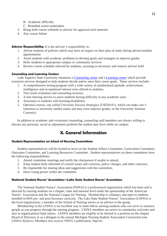- B. Academic difficulty
- C. Remedial action undertaken
- 3. Bring draft course schedule to advisor for approval each semester
- 4. Any course failure

**Advisor Responsibility:** It is the advisor's responsibility to:

- 1. Advise students of policies which may have an impact on their plan of study during advisor/student appointments
- 2. Assist students with academic problems to develop goals and strategies to improve grades
- 3. Refer students to appropriate campus or community services
- 4. Review course schedule selected by students, assisting as necessary and remove advisor hold

#### **Counseling and Learning Centers**

Lake Superior State University maintains a [Counseling center](http://www.lssu.edu/counseling/) and a [Learning center](http://www.lssu.edu/lc/) which provide extensive services designed to help students decide and/or meet their career goals. These services include:

- 1. A comprehensive testing program with a wide variety of standardized aptitude, achievement, intelligence and occupational interest tests offered to students;
- 2. Test result evaluation and counseling sessions;
- 3. A free tutoring service to assist students having difficulty in any academic area;
- 4. Assistance to students with learning disabilities;
- 5. Optional courses, one called University Success Strategies (USEM101), which can make one's transition to university studies easier and may even improve grades, or the University Seminar Course(s).

In addition to academic and vocational counseling, counseling staff members are always willing to discuss any personal, social or adjustment problem the student may have while on campus.

## **X. General Information**

#### <span id="page-21-0"></span>**Student Representation on School of Nursing Committees**

Student representatives will be invited to serve on the Student Affairs Committee, Curriculum Committee, Outcomes Committee, and Learning Resources Committee. Student representatives on these committees have the following responsibilities:

- 1. Attend committee meetings and notify the chairperson if unable to attend;
- 2. Keep student body informed of current issues and concerns, policy changes, and other concerns;
- 3. Be responsible for sharing ideas and suggestions with the committee;
- 4. Have voting power within the committee.

#### **National Student Nurses' Association—Lake State Student Nurses' Association**

The National Student Nurses' Association (NSNA) is a professional organization which has been and is directed by nursing students on a chapter, state and national level under the sponsorship of the American Nurses' Association and the National League for Nursing. Membership is voluntary and open to students enrolled in BSN pre- and post-licensure curricula. The Lake State Student Nurses' Association (LSSNA) is the local organization; a member of the School of Nursing serves as an advisor to the group.

Membership in the LSSNA is an excellent way to meet fellow nursing students who can serve as resource people as you progress through the nursing progress. LSSNA members are active in community activities and also in organizational fund raisers. LSSNA members are eligible to be elected to a position on the chapter Board of Directors or as a delegate to the annual Michigan Nursing Student Association Convention (see LSSNA Bylaws). Members also receive NSNA's publication, *Imprint*.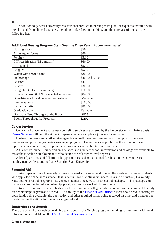#### **Cost**

In addition to general University fees, students enrolled in nursing must plan for expenses incurred with travel to and from clinical agencies, including bridge fees and parking, and the purchase of items in the following list.

| Nursing shoes                                 | \$50             |
|-----------------------------------------------|------------------|
| 2 nursing uniforms                            | \$80             |
| Penlight                                      | \$3.00           |
| CPR certification (Bi-annually)               | \$60.00          |
| CPR shield                                    | \$5.00           |
| Goggles                                       | \$5.00           |
| Watch with second hand                        | \$30.00          |
| Stethoscope                                   | \$40.00-\$120.00 |
| <b>Scissors</b>                               | \$4.00           |
| BP cuff                                       | \$30.00          |
| Bridge toll (selected semesters)              | \$100.00         |
| Clinical parking (CAN \$)(selected semesters) | \$84.00          |
| Out-of-town clinical (selected semesters)     | Variable         |
| Immunizations                                 | \$100.00         |
| Laboratory kits                               | \$80.00          |
| Graduation pin                                | Variable         |
| Software Used Throughout the Program          | \$875            |
| Books Throughout the Program                  | \$1500           |

**Additional Nursing Program Costs Over the Three Years** (Approximate figures):

#### **Career Services**

Centralized placement and career counseling services are offered by the University on a full-time basis. [Career Services](https://www.lssu.edu/career/) will help the student prepare a resume and plan a job-search campaign.

Business, industry and civil service agencies annually send representatives to campus to interview graduates and potential graduates seeking employment. Career Services publicizes the arrival of these representatives and arranges appointments for interviews with interested students.

A Career Resource Library and on-line access to graduate school information and catalogs are available to assist those seeking employment or who decide to seek higher level degrees.

A list of part-time and full-time job opportunities is also maintained for those students who desire employment while attending Lake Superior State University.

#### **Financial Aid**

Lake Superior State University strives to reward scholarship and to meet the needs of the many students who apply for financial assistance. If it is determined that "financial need" exists in a situation, University, State and Federal aid programs may enable students to receive a "financial aid package." This package could include a combination of a scholarship, grant, loan and/or work-study assistance.

Students who have excellent high school or community college academic records are encouraged to apply for scholarships regardless of "need." The ability of the [Financial Aid Office](http://www.lssu.edu/finaid/) to meet one's need is contingent upon funds being available, the application and other required forms being received on time, and whether one meets the qualifications for the various types of aid.

#### **Scholarships and Awards**

There are several scholarships available to students in the Nursing program including full tuition. Additional information is available on the **LSSU School of Nursing website.** 

#### **Clinical Agencies**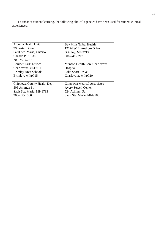To enhance student learning, the following clinical agencies have been used for student clinical experiences.

| Algoma Health Unit           | Bay Mills Tribal Health       |
|------------------------------|-------------------------------|
| 99 Foster Drive              | 12124 W. Lakeshore Drive      |
| Sault Ste. Marie, Ontario,   | Brimley, MI49715              |
| Canada P6A 5X6               | 906-248-3217                  |
| 705-759-5287                 |                               |
| <b>Boulder Park Terrace</b>  | Munson Health Care Charlevoix |
| Charlevoix, MI49711          | Hospital                      |
| <b>Brimley Area Schools</b>  | Lake Shore Drive              |
| Brimley, MI49715             | Charlevoix, MI49720           |
|                              |                               |
| Chippewa County Health Dept. | Chippewa Medical Associates   |
| 508 Ashmun St.               | <b>Avery Sewell Center</b>    |
| Sault Ste. Marie, MI49783    | 524 Ashmun St.                |
| 906-635-1566                 | Sault Ste. Marie, MI49783     |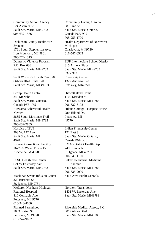| <b>Community Action Agency</b>   | Community Living Algoma                 |
|----------------------------------|-----------------------------------------|
| 524 Ashmun St.                   | 681 Pine St.                            |
| Sault Ste. Marie, MI49783        | Sault Ste. Marie, Ontario,              |
| 906-632-1566                     | Canada P6B 3G2                          |
|                                  | 705-253-1700                            |
| Dickinson County Healthcare      | Health Department of Northwest          |
| Systems                          | Michigan                                |
| 1721 South Stephenson Ave.       | Charlevoix, MI49720                     |
| Iron Mountain, MI49801           | 616-547-6523                            |
| 906-774-1313                     |                                         |
| Domestic Violence Program        | <b>EUP Intermediate School District</b> |
| P.O. Box 636                     | 315 Armory Place                        |
| Sault Ste. Marie, MI49783        | Sault Ste. Marie, MI 49783              |
|                                  | 632-3373                                |
| Sault Women's Health Care, 509   | Friendship Center                       |
| Osborn Blvd. Suite 120           | 1322 Anderson Rd                        |
| Sault Ste. Marie, MI 49783       | Petoskey, MI49770                       |
|                                  |                                         |
| Group Health Centre              | <b>Hiawathaland Home</b>                |
| 240 McNabb                       | 1105 Meridan St.                        |
| Sault Ste. Marie, Ontario,       | Sault Ste. Marie, MI49783               |
| Canada P6B 1Y5                   | 906-632-6198                            |
| Hiawatha Behavioral Health       | Hiland Cottage - Hospice House          |
| Center                           | One Hiland Dr.                          |
| 3865 South Mackinac Trail        | Petoskey, MI                            |
| Sault Ste. Marie, MI49783        | 49770                                   |
| 906-632-2805                     |                                         |
| Hospice of EUP                   | Indian Friendship Center                |
| 308 W. 12 <sup>th</sup> Ave      | 122 East St.                            |
| Sault Ste. Marie, MI             | Sault Ste. Marie, Ontario,              |
| 49783                            | Canada P6A 3C6                          |
| Kinross Correctional Facility    | LMAS District Health Dept.              |
| 16770 S Water Tower Dr           | 749 Hombach St.                         |
| Kincheloe, MI49788               | St. Ignace, MI 49781                    |
|                                  | 906-643-1100                            |
| <b>LSSU HealthCare Center</b>    | Lakeview Internal Medicine              |
| 621 W Easterday Ave.             | 511 Ashmun                              |
| Sault Ste. Marie, MI49783        | Sault Ste. Marie, MI49783               |
|                                  | 906-635-9090                            |
| Mackinac Straits Infusion Center | Sault Area Public Schools               |
| 220 Burdette St.                 |                                         |
| St. Ignace, MI49781              |                                         |
| McLaren-Northern Michigan        | <b>Northern Transitions</b>             |
| <b>Regional Hospital</b>         | 1401 W. Easterday Ave.                  |
| 416 Connable Ave                 | Sault Ste. Marie, MI49783               |
| Petoskey, MI49770                |                                         |
| 616-348-4000                     |                                         |
| <b>Planned Parenthood</b>        | Riverside Medical Assoc., P.C.          |
| 1003 Spring St.                  | 601 Osborn Blvd.                        |
| Petoskey, MI49770                | Sault Ste. Marie, MI49783               |
| 616-347-9692                     |                                         |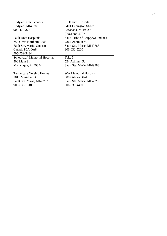| Rudyard Area Schools            | St. Francis Hospital            |
|---------------------------------|---------------------------------|
| Rudyard, MI49780                | 3401 Ludington Street           |
| 906-478-3771                    | Escanaba, MI49829               |
|                                 | $(906)$ 786-5707                |
| Sault Area Hospitals            | Sault Tribe of Chippewa Indians |
| 750 Great Northern Road         | 2864 Ashmun St.                 |
| Sault Ste. Marie, Ontario       | Sault Ste. Marie, MI49783       |
| Canada P6A OA8                  | 906-632-5200                    |
| 705-759-3434                    |                                 |
| Schoolcraft Memorial Hospital   | Take 5                          |
| 500 Main St.                    | 524 Ashmun St.                  |
| Manistique, MI49854             | Sault Ste. Marie, MI49783       |
|                                 |                                 |
| <b>Tendercare Nursing Homes</b> | War Memorial Hospital           |
| 1011 Meridian St.               | 500 Osborn Blyd.                |
| Sault Ste. Marie, MI49783       | Sault Ste. Marie, MI 49783      |
| 906-635-1518                    | 906-635-4460                    |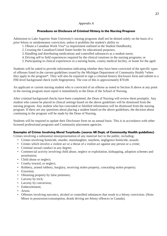#### *Appendix A*

#### **Procedures on Disclosure of Criminal History in the Nursing Program**

Admission to Lake Superior State University's nursing programs shall not be denied solely on the basis of a prior felony or misdemeanor conviction, unless it prohibits the student's ability to:

- 1. Obtain a Canadian Work Visa\* (a requirement outlined in the Student Handbook);
- 2.Crossing the Canadian/United States border for educational purposes;
- 3. Handling and distributing medications and controlled substances as a student nurse;
- 4. Driving self to field experiences required by the clinical rotations in the nursing programs; or
- 5. Participating in clinical experiences in a nursing home, county medical facility, or home for the aged.

Students will be asked to provide information indicating whether they have been convicted of the specific types of offenses listed in the current guidelines issued by the Michigan Department of Community Health \*when they apply to the program\*. They will also be required to sign a criminal history disclosure form and submit to a FBI-level background check (with fingerprints). The cost of this is approximately \$70.00.

An applicant or current nursing student who is convicted of an offense as noted in Section II above at any point in the nursing program must report it immediately to the Dean of the School of Nursing.

After criminal background checks have been completed, the Dean of Nursing will review them promptly. Any student who cannot be placed in clinical settings based on the above guidelines will be dismissed from the nursing program. Any student who has concealed or falsified information will be dismissed from the nursing program. If there are any questions about placing a student based on the above guidelines, the decision about continuing in the program will be made by the Dean of Nursing.

Students will be required to update their Disclosure form on an annual basis. This is in accordance with other licensed professional programs and Community placement agencies.

#### **Examples of Crimes Involving Moral Turpitude: (source: MI Dept. of Community Health guidelines)**

Crimes involving a substantial misrepresentation of any material fact to the public, including:

- Crimes involving homicide, murder, manslaughter, mayhem, negligence homicide, assault;
- Crimes which involve a violent act or a threat of a violent act against any person or a crime;
- Criminal sexual conduct in any degree;
- Commercial activity involving child abuse, neglect or exploitation, kidnapping, adoption schemes and prostitution;
- Child abuse or neglect;
- Cruelty toward, or neglect;
- Robbery, armed robbery, burglary, receiving stolen property, concealing stolen property;
- Extortion;
- Obtaining property by false pretenses;
- Larceny by trick;
- Larceny by conversion;
- Embezzlement;
- Arson;
- Offenses involving narcotics, alcohol or controlled substances that result in a felony conviction. (Note: Minor in possession/consumption, drunk driving are felony offences in Canada).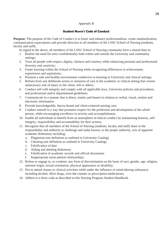#### *Appendix B*

#### **Student Nurse's Code of Conduct**

**Purpose:** The purpose of the Code of Conduct is to foster and enhance professionalism, create standardization, communication expectations and provide direction to all members of the LSSU School of Nursing (students, faculty and staff).

In regard to the above, all members of the LSSU School of Nursing community have a shared duty to:

- 1. Realize the need for strict confidentiality both within and outside the University and community settings;
- 2. Treat all people with respect, dignity, fairness and courtesy while enhancing personal and professional diversity and creativity;
- 3. Foster learning within the School of Nursing while recognizing differences in achievement, experiences and aspirations;
- 4. Promote a safe and healthy environment conductive to learning in University and clinical settings;
- 5. Refrain from any deliberate action or omission of care in the academic or clinical setting that creates unnecessary risk of injury to the client, self or others;
- 6. Conduct self with integrity and comply with all applicable laws, University policies and procedures, and professional and/or departmental guidelines;
- 7. Communicate in a manner that is direct, timely and honest in relation to verbal, visual, written and electronic information
- 8. Provide knowledgeable, theory-based and client-centered nursing care;
- 9. Conduct oneself in a way that promotes respect for the profession and development of the whole person, while encouraging excellence in activity and accomplishment;
- 10. Enable all individuals to benefit from an atmosphere of ethical conduct by maintaining honesty, selfintegrity, responsibility and accountability for their actions;
- 11. Recognize that all members of the School of Nursing (students, faculty and staff) share in the responsibility and authority to challenge and make known, to the proper authority, acts of apparent academic dishonesty including:
	- a. Plagiarism (see definition as outlined in University Catalog)
	- b. Cheating (see definition as outlined in University Catalog)
	- c. Falsification of data
	- d. Aiding and abetting dishonesty
	- e. Falsification of academic records and official documents
	- f. Inappropriate nurse-patient relationships;
- 12. Refuse to engage in, or condone, any form of discrimination on the basis of race, gender, age, religion, national origin, sexual orientation, physical appearance or disability;
- 13. Not to attend classes or clinical activities while under the influence of mind-altering substances including alcohol, illicit drugs, over-the-counter or prescription medications;
- 14. Adhere to a dress code as described in this Nursing Program Student Handbook.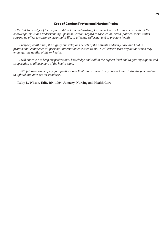#### **Code of Conduct Professional Nursing Pledge**

*In the full knowledge of the responsibilities I am undertaking, I promise to care for my clients with all the knowledge, skills and understanding I possess, without regard to race, color, creed, politics, social status, sparing no effect to conserve meaningful life, to alleviate suffering, and to promote health.*

*I respect, at all times, the dignity and religious beliefs of the patients under my care and hold in professional confidence all personal information entrusted to me. I will refrain from any action which may endanger the quality of life or health.*

*I will endeavor to keep my professional knowledge and skill at the highest level and to give my support and cooperation to all members of the health team.*

*With full awareness of my qualifications and limitations, I will do my utmost to maximize the potential and to uphold and advance its standards.*

**— Ruby L. Wilson, EdD, RN, 1994, January, Nursing and Health Care**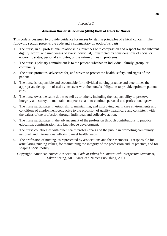#### *Appendix C*

#### **American Nurses' Association (ANA) Code of Ethics for Nurses**

This code is designed to provide guidance for nurses by stating principles of ethical concern. The following section presents the code and a commentary on each of its parts.

- 1. The nurse, in all professional relationships, practices with compassion and respect for the inherent dignity, worth, and uniqueness of every individual, unrestricted by considerations of social or economic status, personal attributes, or the nature of health problems.
- 2. The nurse's primary commitment is to the patient, whether an individual, family, group, or community.
- 3. The nurse promotes, advocates for, and strives to protect the health, safety, and rights of the patient.
- 4. The nurse is responsible and accountable for individual nursing practice and determines the appropriate delegation of tasks consistent with the nurse's obligation to provide optimum patient care.
- 5. The nurse owes the same duties to self as to others, including the responsibility to preserve integrity and safety, to maintain competence, and to continue personal and professional growth.
- 6. The nurse participates in establishing, maintaining, and improving health care environments and conditions of employment conducive to the provision of quality health care and consistent with the values of the profession through individual and collective action.
- 7. The nurse participates in the advancement of the profession through contributions to practice, education, administration, and knowledge development.
- 8. The nurse collaborates with other health professionals and the public in promoting community, national, and international efforts to meet health needs.
- 9. The profession of nursing, as represented by associations and their members, is responsible for articulating nursing values, for maintaining the integrity of the profession and its practice, and for shaping social policy.

Copyright: American Nurses Association, *Code of Ethics for Nurses with Interpretive Statement,*  Silver Spring, MD: American Nurses Publishing, 2001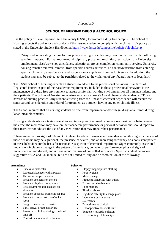#### *Appendix D*

#### **SCHOOL OF NURSING DRUG & ALCOHOL POLICY**

It is the policy of Lake Superior State University (LSSU) to promote a drug free campus. The School of Nursing expects the behavior and conduct of the nursing student to comply with the University's policy as stated in the University Student Handbook at<https://www.lssu.edu/campuslife/policies/alcohol.php>

"Any student violating the law for this policy relating to alcohol may have one or more of the following sanctions imposed: Formal reprimand, disciplinary probation, restitution, restriction from University employment, class/workshop attendance, educational project completion, community service, University housing transfer/removal, removal from specific courses/activities, no contact/restriction from entering specific University areas/persons, and suspension or expulsion from the University. In addition, the student may also be subject to the penalties related to the violation of any federal, state or local law."

The LSSU School of Nursing expects all students to adhere to the professional behavioral standards of Registered Nurses as part of their academic requirements. Included in those professional behaviors is the maintenance of a drug free environment to assure a safe, fair working environment for all nursing students and their patients. The School of Nursing recognizes substance abuse (SA) and chemical dependency (CD) as hazards of nursing practice. Any student suffering from the illness of chemical dependence will receive the same careful consideration and referral for treatment as a student having any other chronic illness.

The School requires that all nursing students be free from impairment and/or illegal drugs at all times during lab/clinical placements.

Nursing students who are taking over-the-counter or prescribed medication are responsible for being aware of the effect the medication may have on their academic performance or personal behavior and should report to their instructor or advisor the use of any medication that may impair their performance.

There are numerous signs of SA and CD related to job performance and attendance. While single incidences of these behaviors may be significant, the presence of several, and an increasing frequency or a consistent pattern of these behaviors are the basis for reasonable suspicion of chemical impairment. Signs commonly associated impairment includes a change in the pattern of attendance, behavior or performance; physical signs of impairment or withdrawal, and unusual/abnormal use of controlled substances. Specific student behaviors suggestive of SA and CD include, but are not limited to, any one or combination of the following:

#### **Attendance**

- Excessive sick calls
- Repeated absences with a pattern
- Tardiness, suspiciousness
- Frequent accidents on the job
- Frequent physical complaints
- Peculiar/improbable excuses for absences
- Frequent absences from clinical area
- Frequent trips to rest room/locker room
- Long coffee or lunch breaks
- Early arrival or late departure
- Presence in clinical during scheduled time off
- Confusion about work schedule

#### **Behavior**

- $\bullet$  Sloppy/inappropriate clothing
- Poor hygiene
- Mood swings
- Frequent irritability with others
- Excessive talkativeness
- Poor memory
- Physical abuse
- Rigidity/inability to change plans
- Incoherent or irrelevant statements
- Drowsiness at clinical
- Uncooperativeness with staff
- Tendency towards isolation
- Deteriorating relationships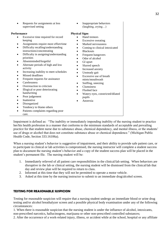• Requests for assignments at less supervised setting

#### **Performance**

- Excessive time required for record keeping
- Assignments require more effort/time
- Difficulty recalling/understanding instructions/concentrating
- Difficulty in assigning/understanding priorities
- Absentminded/forgetful
- Alternate periods of high and low activity
- Increasing inability to meet schedules
- Missed deadlines
- Frequent requests for assistance
- Carelessness
- Overreaction to criticism
- Illogical or poor deteriorating handwriting
- Poor judgement
- Inattentive
- Disorganized
- Tendency to blame others
- Patients complaints regarding poor care.

• Inappropriate behaviors (laughing, crying…)

#### **Physical Signs**

- Hand tremors
- Excessive sweating
- Marked nervousness
- Coming to clinical intoxicated
- Blackouts
- Frequent hangovers
- Odor of alcohol
- GI upset
- Slurred speech
- Increased anxiety
- Unsteady gait
- Excessive use of breath mints/mouthwash
- Sniffing, sneezing
- Clumsiness
- Flushed face
- Watery eyes, constricted/dilated pupils
- Anorexia

Impairment is defined as: "The inability or immediately impending inability of the nursing student to practice her/his health profession in a manner that conforms to the minimum standards of acceptable and prevailing practice for that student nurse due to substance abuse, chemical dependency, and mental illness, or the students' use of drugs or alcohol that does not constitute substance abuse or chemical dependence." (Michigan Public Health Code, Section 333.16106a).

When a nursing student's behavior is suggestive of impairment, and their ability to provide safe patient care, or to participate in clinical or lab activities is compromised, the nursing instructor will complete a student success plan to document the nursing student's behavior and a copy of the student success plan will be placed in the student's permanent file. The nursing student will be:

- 1. Immediately relieved of all patient care responsibilities in the clinical/lab setting. When behaviors are disruptive in the lab or clinical setting, the nursing student will be dismissed from the clinical/lab that day and review plan will be required to return to class.
- 2. Informed at this time that they will not be permitted to operate a motor vehicle.
- 3. Asked at this time by the nursing instructor to submit to an immediate drug/alcohol screen.

#### **TESTING FOR REASONABLE SUSPICION**

Testing for reasonable suspicion will require that a nursing student undergo an immediate blood or urine drug testing and/or alcohol breathalyzer screen and a possible physical body examination under any of the following circumstances:

1. When there is reasonable suspicion that the nursing student is under the influence of alcohol, intoxicants, non-prescribed narcotics, hallucinogens, marijuana or other non-prescribed controlled substances;

2. After the occurrence of a work-related injury, illness, or accident while at the school, hospital or any affiliate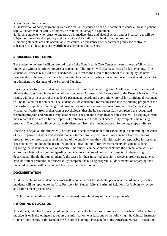academic or clinical site;

3. Observation of poor judgment or careless acts, which caused or had the potential to cause a threat to patient safety, jeopardized the safety of others, or resulted in damage to equipment;

4. Nursing students who refuse to undergo an immediate drug and alcohol screen and/or breathalyzer will be subject to immediate disciplinary actions, up to and including dismissal from the program;

5. Nursing students are held accountable for controlled substances per department policy for controlled substances at all hospitals or any affiliate academic or clinical sites.

#### **PROCEDURE FOR TESTING**

The student to be tested will be referred to the Lake State Health Care Center or nearest hospital/clinic for an immediate witnessed urine/blood/tissue screening. The student will assume all costs for lab screening. The student will release results of the urine/blood/tissue test to the Dean of the School of Nursing by the next business day. The student will not be permitted to attend any further clinical until results evaluated by the Dean or administrative designee of the School of Nursing.

If testing is positive, the student will be suspended from the nursing program. A follow-up confirmation test to identify the drug found in the urine will then be done. All results will be reported to the Dean of Nursing. The results will become a part of the student's permanent record, and appropriate referral for confidential treatment will be initiated for the student. The student will be considered for readmission into the nursing program at the successful completion of a recognized program for substance abuse treatment program. She/he must submit written verification from a physician or psychologist that she/he has successfully completed the recognized treatment program and remains drug/alcohol free. The student's drug/alcohol notes/tests will be expunged from their record if there are no further reports of problems, and the student successfully completes the nursing program. The student will be permanently dismissed from the nursing program following a repeat offense.

If testing is negative, the student will be advised to seek confidential professional help in determining the cause of their impaired behavior and warned that any further problems will result in expulsion from the nursing program for the safety and general welfare of the public whom they will ultimately be responsible for serving. The student will no longer be permitted on the clinical unit until further assessment/advisement is done regarding the behaviors that are of concern. The student can be admitted back into the clinical area when an appropriate letter of resolution regarding the behaviors that are of concern is presented to the nursing department. Should the student identify the cause for their impaired behavior, receive appropriate treatment, have no further problems, and successfully complete the nursing program, all documentation regarding their impaired behavior will be expunged from their permanent record.

#### **DOCUMENTATION**

All documentation on student behaviors will become part of the students' permanent record and any further incidents will be reported to the Vice President for Student Life and Alumni Relations for University review and enforcement procedures.

NOTE: Student confidentiality will be maintained throughout any of the above protocols.

#### **REPORTING OBLIGATION**

Any student, who has knowledge of another student's alcohol or drug abuse, especially when it affects clinical practice, is ethically obligated to report this information to at least one of the following: the Clinical Instructor, Course Coordinator, or the Dean of the School of Nursing. Please refer to the American Nurses' Association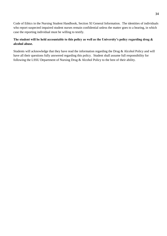Code of Ethics in the Nursing Student Handbook, Section XI General Information. The identities of individuals who report suspected impaired student nurses remain confidential unless the matter goes to a hearing, in which case the reporting individual must be willing to testify.

#### **The student will be held accountable to this policy as well as the University's policy regarding drug & alcohol abuse.**

Students will acknowledge that they have read the information regarding the Drug & Alcohol Policy and will have all their questions fully answered regarding this policy. Student shall assume full responsibility for following the LSSU Department of Nursing Drug & Alcohol Policy to the best of their ability.